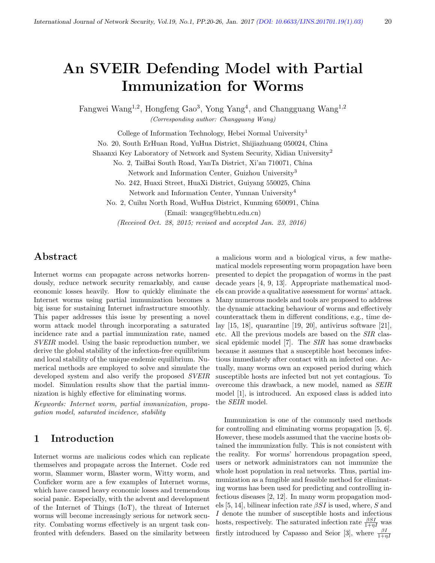# An SVEIR Defending Model with Partial Immunization for Worms

Fangwei Wang<sup>1,2</sup>, Hongfeng Gao<sup>3</sup>, Yong Yang<sup>4</sup>, and Changguang Wang<sup>1,2</sup> (Corresponding author: Changguang Wang)

College of Information Technology, Hebei Normal University<sup>1</sup>

No. 20, South ErHuan Road, YuHua District, Shijiazhuang 050024, China

Shaanxi Key Laboratory of Network and System Security, Xidian University<sup>2</sup>

No. 2, TaiBai South Road, YanTa District, Xi'an 710071, China

Network and Information Center, Guizhou University<sup>3</sup>

No. 242, Huaxi Street, HuaXi District, Guiyang 550025, China

Network and Information Center, Yunnan University<sup>4</sup>

No. 2, Cuihu North Road, WuHua District, Kunming 650091, China (Email: wangcg@hebtu.edu.cn)

(Received Oct. 28, 2015; revised and accepted Jan. 23, 2016)

## Abstract

Internet worms can propagate across networks horrendously, reduce network security remarkably, and cause economic losses heavily. How to quickly eliminate the Internet worms using partial immunization becomes a big issue for sustaining Internet infrastructure smoothly. This paper addresses this issue by presenting a novel worm attack model through incorporating a saturated incidence rate and a partial immunization rate, named SVEIR model. Using the basic reproduction number, we derive the global stability of the infection-free equilibrium and local stability of the unique endemic equilibrium. Numerical methods are employed to solve and simulate the developed system and also verify the proposed  $SVEIR$ model. Simulation results show that the partial immunization is highly effective for eliminating worms.

Keywords: Internet worm, partial immunization, propagation model, saturated incidence, stability

### 1 Introduction

Internet worms are malicious codes which can replicate themselves and propagate across the Internet. Code red worm, Slammer worm, Blaster worm, Witty worm, and Conficker worm are a few examples of Internet worms, which have caused heavy economic losses and tremendous social panic. Especially, with the advent and development of the Internet of Things (IoT), the threat of Internet worms will become increasingly serious for network security. Combating worms effectively is an urgent task confronted with defenders. Based on the similarity between a malicious worm and a biological virus, a few mathematical models representing worm propagation have been presented to depict the propagation of worms in the past decade years [4, 9, 13]. Appropriate mathematical models can provide a qualitative assessment for worms' attack. Many numerous models and tools are proposed to address the dynamic attacking behaviour of worms and effectively counterattack them in different conditions, e.g., time delay [15, 18], quarantine [19, 20], antivirus software [21], etc. All the previous models are based on the SIR classical epidemic model [7]. The SIR has some drawbacks because it assumes that a susceptible host becomes infectious immediately after contact with an infected one. Actually, many worms own an exposed period during which susceptible hosts are infected but not yet contagious. To overcome this drawback, a new model, named as SEIR model [1], is introduced. An exposed class is added into the SEIR model.

Immunization is one of the commonly used methods for controlling and eliminating worms propagation [5, 6]. However, these models assumed that the vaccine hosts obtained the immunization fully. This is not consistent with the reality. For worms' horrendous propagation speed, users or network administrators can not immunize the whole host population in real networks. Thus, partial immunization as a fungible and feasible method for eliminating worms has been used for predicting and controlling infectious diseases [2, 12]. In many worm propagation models [5, 14], bilinear infection rate  $\beta SI$  is used, where, S and I denote the number of susceptible hosts and infectious hosts, respectively. The saturated infection rate  $\frac{\beta SI}{1+\eta I}$  was firstly introduced by Capasso and Seior [3], where  $\frac{\beta I}{1+\eta I}$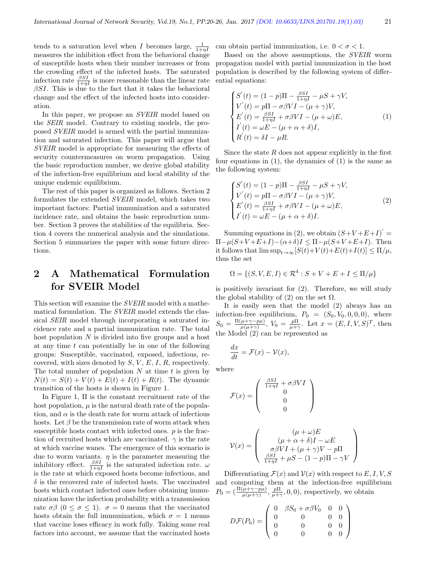tends to a saturation level when I becomes large,  $\frac{1}{1+\eta I}$ measures the inhibition effect from the behavioral change of susceptible hosts when their number increases or from the crowding effect of the infected hosts. The saturated infection rate  $\frac{\beta SI}{1+\eta I}$  is more reasonable than the linear rate  $\beta SI$ . This is due to the fact that it takes the behavioral change and the effect of the infected hosts into consideration.

In this paper, we propose an *SVEIR* model based on the SEIR model. Contrary to existing models, the proposed SVEIR model is armed with the partial immunization and saturated infection. This paper will argue that SVEIR model is appropriate for measuring the effects of security countermeasures on worm propagation. Using the basic reproduction number, we derive global stability of the infection-free equilibrium and local stability of the unique endemic equilibrium.

The rest of this paper is organized as follows. Section 2 formulates the extended SVEIR model, which takes two important factors: Partial immunization and a saturated incidence rate, and obtains the basic reproduction number. Section 3 proves the stabilities of the equilibria. Section 4 covers the numerical analysis and the simulations. Section 5 summarizes the paper with some future directions.

# 2 A Mathematical Formulation for SVEIR Model

This section will examine the SVEIR model with a mathematical formulation. The SVEIR model extends the classical SEIR model through incorporating a saturated incidence rate and a partial immunization rate. The total host population N is divided into five groups and a host at any time  $t$  can potentially be in one of the following groups: Susceptible, vaccinated, exposed, infectious, recovered, with sizes denoted by  $S, V, E, I, R$ , respectively. The total number of population  $N$  at time  $t$  is given by  $N(t) = S(t) + V(t) + E(t) + I(t) + R(t)$ . The dynamic transition of the hosts is shown in Figure 1.

In Figure 1, Π is the constant recruitment rate of the host population,  $\mu$  is the natural death rate of the population, and  $\alpha$  is the death rate for worm attack of infectious hosts. Let  $\beta$  be the transmission rate of worm attack when susceptible hosts contact with infected ones.  $p$  is the fraction of recruited hosts which are vaccinated.  $\gamma$  is the rate at which vaccine wanes. The emergence of this scenario is due to worm variants.  $\eta$  is the parameter measuring the inhibitory effect.  $\frac{\beta SI}{1+\eta I}$  is the saturated infection rate.  $\omega$ is the rate at which exposed hosts become infectious, and  $\delta$  is the recovered rate of infected hosts. The vaccinated hosts which contact infected ones before obtaining immunization have the infection probability with a transmission rate  $\sigma\beta$  (0  $\leq \sigma \leq$  1).  $\sigma = 0$  means that the vaccinated hosts obtain the full immunization, which  $\sigma = 1$  means that vaccine loses efficacy in work fully. Taking some real factors into account, we assume that the vaccinated hosts

can obtain partial immunization, i.e.  $0 < \sigma < 1$ .

Based on the above assumptions, the SVEIR worm propagation model with partial immunization in the host population is described by the following system of differential equations:

$$
\begin{cases}\nS'(t) = (1 - p)\Pi - \frac{\beta SI}{1 + \eta I} - \mu S + \gamma V, \\
V'(t) = p\Pi - \sigma \beta VI - (\mu + \gamma)V, \\
E'(t) = \frac{\beta SI}{1 + \eta I} + \sigma \beta VI - (\mu + \omega)E, \\
I'(t) = \omega E - (\mu + \alpha + \delta)I, \\
R'(t) = \delta I - \mu R.\n\end{cases} (1)
$$

Since the state  $R$  does not appear explicitly in the first four equations in (1), the dynamics of (1) is the same as the following system:

$$
\begin{cases}\nS'(t) = (1 - p)\Pi - \frac{\beta SI}{1 + \eta I} - \mu S + \gamma V, \\
V'(t) = p\Pi - \sigma \beta VI - (\mu + \gamma)V, \\
E'(t) = \frac{\beta SI}{1 + \eta I} + \sigma \beta VI - (\mu + \omega)E, \\
I'(t) = \omega E - (\mu + \alpha + \delta)I.\n\end{cases} (2)
$$

Summing equations in (2), we obtain  $(S+V+E+I)^{'}=$  $\Pi-\mu(S+V+E+I)-(\alpha+\delta)I \leq \Pi-\mu(S+V+E+I)$ . Then it follows that  $\limsup_{t\to\infty} [S(t)+V(t)+E(t)+I(t)] \leq \Pi/\mu$ , thus the set

$$
\Omega = \{ (S, V, E, I) \in \mathcal{R}^4 : S + V + E + I \le \Pi/\mu \}
$$

is positively invariant for (2). Therefore, we will study the global stability of (2) on the set  $\Omega$ .

It is easily seen that the model (2) always has an infection-free equilibrium,  $P_0 = (S_0, V_0, 0, 0, 0)$ , where  $S_0 = \frac{\Pi(\mu + \gamma - p\mu)}{\mu(\mu + \gamma)}$  $\frac{(\mu + \gamma - p\mu)}{\mu(\mu + \gamma)}, V_0 = \frac{p\Pi}{\mu + \gamma}.$  Let  $x = (E, I, V, S)^T$ , then the Model (2) can be represented as

$$
\frac{dx}{dt} = \mathcal{F}(x) - \mathcal{V}(x),
$$

where

$$
\mathcal{F}(x) = \begin{pmatrix}\n\frac{\beta SI}{1 + \eta I} + \sigma \beta VI \\
0 \\
0 \\
0\n\end{pmatrix}
$$
\n
$$
\mathcal{V}(x) = \begin{pmatrix}\n(\mu + \omega)E \\
(\mu + \alpha + \delta)I - \omega E \\
\sigma \beta VI + (\mu + \gamma)V - p\Pi \\
\frac{\beta SI}{1 + \eta I} + \mu S - (1 - p)\Pi - \gamma V\n\end{pmatrix}
$$

Differentiating  $\mathcal{F}(x)$  and  $\mathcal{V}(x)$  with respect to E, I, V, S and computing them at the infection-free equilibrium  $P_0 = \left(\frac{\Pi(\mu + \gamma - p\mu)}{\mu(\mu + \gamma)}, \frac{p\Pi}{\mu + \gamma}, 0, 0\right)$ , respectively, we obtain

 $\setminus$ 

 $\Big\}$ 

$$
D\mathcal{F}(P_0) = \left(\begin{array}{cccc} 0 & \beta S_0 + \sigma \beta V_0 & 0 & 0 \\ 0 & 0 & 0 & 0 \\ 0 & 0 & 0 & 0 \\ 0 & 0 & 0 & 0 \end{array}\right)
$$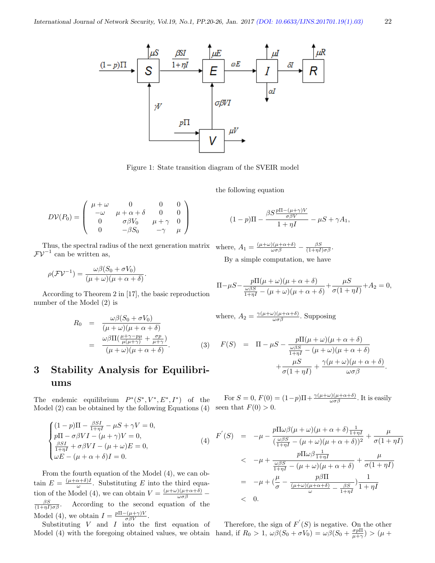

Figure 1: State transition diagram of the SVEIR model

the following equation

$$
D\mathcal{V}(P_0) = \begin{pmatrix} \mu + \omega & 0 & 0 & 0 \\ -\omega & \mu + \alpha + \delta & 0 & 0 \\ 0 & \sigma \beta V_0 & \mu + \gamma & 0 \\ 0 & -\beta S_0 & -\gamma & \mu \end{pmatrix}
$$

Thus, the spectral radius of the next generation matrix where,  $A_1 = \frac{(\mu + \omega)(\mu + \alpha + \delta)}{\omega \sigma \beta} - \frac{\beta S}{(1 + \eta I) \sigma \beta}$ .  $\mathcal{F} \mathcal{V}^{-1}$  can be written as,

$$
\rho(\mathcal{F}\mathcal{V}^{-1}) = \frac{\omega\beta(S_0 + \sigma V_0)}{(\mu + \omega)(\mu + \alpha + \delta)}.
$$

According to Theorem 2 in [17], the basic reproduction number of the Model (2) is

$$
R_0 = \frac{\omega\beta(S_0 + \sigma V_0)}{(\mu + \omega)(\mu + \alpha + \delta)}
$$
  
= 
$$
\frac{\omega\beta\Pi(\frac{\mu + \gamma - p\mu}{\mu(\mu + \gamma)} + \frac{\sigma p}{\mu + \gamma})}{(\mu + \omega)(\mu + \alpha + \delta)}.
$$
 (3)

# 3 Stability Analysis for Equilibriums

The endemic equilibrium  $P^*(S^*, V^*, E^*, I^*)$  of the Model (2) can be obtained by the following Equations (4)

$$
\begin{cases}\n(1-p)\Pi - \frac{\beta SI}{1+\eta I} - \mu S + \gamma V = 0, \\
p\Pi - \sigma \beta VI - (\mu + \gamma)V = 0, \\
\frac{\beta SI}{1+\eta I} + \sigma \beta VI - (\mu + \omega)E = 0, \\
\omega E - (\mu + \alpha + \delta)I = 0.\n\end{cases}
$$
\n(4)

From the fourth equation of the Model (4), we can obtain  $E = \frac{(\mu + \alpha + \delta)I}{\omega}$  $\frac{\alpha+\delta}{\omega}$ . Substituting E into the third equation of the Model (4), we can obtain  $V = \frac{(\mu + \omega)(\mu + \alpha + \delta)}{\omega \sigma \beta}$  $\frac{\beta S}{(1+\eta I)\sigma\beta}.$  $\cos \theta$  . According to the second equation of the Model (4), we obtain  $I = \frac{p \Pi - (\mu + \gamma)V}{\sigma \beta V}$ .

Substituting  $V$  and  $I$  into the first equation of Model (4) with the foregoing obtained values, we obtain

$$
(1-p)\Pi - \frac{\rho D}{1+\eta I} - \mu S + \gamma A_1,
$$

 $\beta S \frac{p\Pi-(\mu+\gamma)V}{\sigma}$ 

By a simple computation, we have

$$
\Pi - \mu S - \frac{p\Pi(\mu + \omega)(\mu + \alpha + \delta)}{\frac{\omega\beta S}{1 + \eta I} - (\mu + \omega)(\mu + \alpha + \delta)} + \frac{\mu S}{\sigma(1 + \eta I)} + A_2 = 0,
$$

where,  $A_2 = \frac{\gamma(\mu + \omega)(\mu + \alpha + \delta)}{\omega \sigma \beta}$ . Supposing

$$
F(S) = \Pi - \mu S - \frac{p\Pi(\mu + \omega)(\mu + \alpha + \delta)}{\frac{\omega\beta S}{1 + \eta I} - (\mu + \omega)(\mu + \alpha + \delta)} + \frac{\mu S}{\sigma(1 + \eta I)} + \frac{\gamma(\mu + \omega)(\mu + \alpha + \delta)}{\omega\sigma\beta}.
$$

For  $S = 0$ ,  $F(0) = (1-p)\Pi + \frac{\gamma(\mu+\omega)(\mu+\alpha+\delta)}{\omega \sigma \beta}$ . It is easily seen that  $F(0) > 0$ .

$$
F'(S) = -\mu - \frac{p \Pi \omega \beta (\mu + \omega) (\mu + \alpha + \delta) \frac{1}{1 + \eta I}}{(\frac{\omega \beta S}{1 + \eta I} - (\mu + \omega) (\mu + \alpha + \delta))^2} + \frac{\mu}{\sigma (1 + \eta I)}
$$
  

$$
< -\mu + \frac{p \Pi \omega \beta \frac{1}{1 + \eta I}}{\frac{\omega \beta S}{1 + \eta I} - (\mu + \omega) (\mu + \alpha + \delta)} + \frac{\mu}{\sigma (1 + \eta I)}
$$
  

$$
= -\mu + (\frac{\mu}{\sigma} - \frac{p \beta \Pi}{\frac{(\mu + \omega)(\mu + \alpha + \delta)}{\omega} - \frac{\beta S}{1 + \eta I}}) \frac{1}{1 + \eta I}
$$
  

$$
< 0.
$$

Therefore, the sign of  $F'(S)$  is negative. On the other hand, if  $R_0 > 1$ ,  $\omega\beta(S_0 + \sigma V_0) = \omega\beta(S_0 + \frac{\sigma p \Pi}{\mu + \gamma}) > (\mu + \frac{\sigma p}{\mu + \gamma})$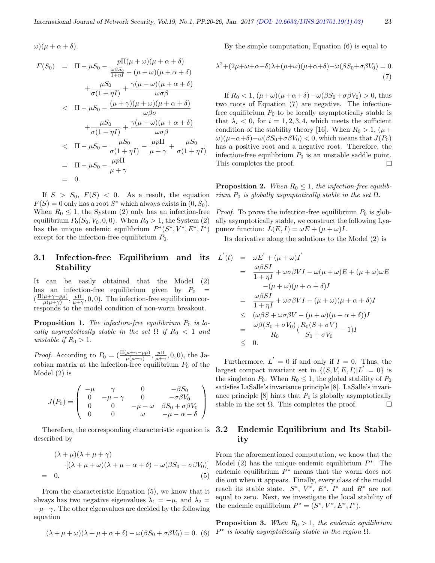$\omega$ )( $\mu + \alpha + \delta$ ).

$$
F(S_0) = \Pi - \mu S_0 - \frac{p \Pi(\mu + \omega)(\mu + \alpha + \delta)}{\frac{\omega \beta S_0}{1 + \eta I} - (\mu + \omega)(\mu + \alpha + \delta)}
$$
  
+ 
$$
\frac{\mu S_0}{\sigma(1 + \eta I)} + \frac{\gamma(\mu + \omega)(\mu + \alpha + \delta)}{\omega \sigma \beta}
$$
  

$$
< \Pi - \mu S_0 - \frac{(\mu + \gamma)(\mu + \omega)(\mu + \alpha + \delta)}{\omega \beta \sigma}
$$
  
+ 
$$
\frac{\mu S_0}{\sigma(1 + \eta I)} + \frac{\gamma(\mu + \omega)(\mu + \alpha + \delta)}{\omega \sigma \beta}
$$
  

$$
< \Pi - \mu S_0 - \frac{\mu S_0}{\sigma(1 + \eta I)} - \frac{\mu p \Pi}{\mu + \gamma} + \frac{\mu S_0}{\sigma(1 + \eta I)}
$$
  
= 
$$
\Pi - \mu S_0 - \frac{\mu p \Pi}{\mu + \gamma}
$$
  
= 0.

If  $S > S_0$ ,  $F(S) < 0$ . As a result, the equation  $F(S) = 0$  only has a root  $S^*$  which always exists in  $(0, S_0)$ . When  $R_0 \leq 1$ , the System (2) only has an infection-free equilibrium  $P_0(S_0, V_0, 0, 0)$ . When  $R_0 > 1$ , the System (2) has the unique endemic equilibrium  $P^*(S^*, V^*, E^*, I^*)$ except for the infection-free equilibrium  $P_0$ .

#### 3.1 Infection-free Equilibrium and its Stability

It can be easily obtained that the Model (2) has an infection-free equilibrium given by  $P_0$  =  $\left(\frac{\Pi(\mu + \gamma - p\mu)}{\mu(\mu + \gamma)}\right)$  $\frac{(\mu+\gamma-p\mu)}{\mu(\mu+\gamma)}, \frac{p\Pi}{\mu+\gamma}, 0, 0$ . The infection-free equilibrium corresponds to the model condition of non-worm breakout.

**Proposition 1.** The infection-free equilibrium  $P_0$  is locally asymptotically stable in the set  $\Omega$  if  $R_0 < 1$  and unstable if  $R_0 > 1$ .

*Proof.* According to  $P_0 = (\frac{\Pi(\mu + \gamma - p\mu)}{\mu(\mu + \gamma)}, \frac{p\Pi}{\mu + \gamma}, 0, 0)$ , the Jacobian matrix at the infection-free equilibrium  $P_0$  of the Model (2) is

$$
J(P_0) = \begin{pmatrix} -\mu & \gamma & 0 & -\beta S_0 \\ 0 & -\mu - \gamma & 0 & -\sigma \beta V_0 \\ 0 & 0 & -\mu - \omega & \beta S_0 + \sigma \beta V_0 \\ 0 & 0 & \omega & -\mu - \alpha - \delta \end{pmatrix}
$$

Therefore, the corresponding characteristic equation is described by

$$
(\lambda + \mu)(\lambda + \mu + \gamma)
$$
  
 
$$
\cdot [(\lambda + \mu + \omega)(\lambda + \mu + \alpha + \delta) - \omega(\beta S_0 + \sigma \beta V_0)]
$$
  
= 0. (5)

From the characteristic Equation (5), we know that it always has two negative eigenvalues  $\lambda_1 = -\mu$ , and  $\lambda_2 =$  $-\mu-\gamma$ . The other eigenvalues are decided by the following equation

$$
(\lambda + \mu + \omega)(\lambda + \mu + \alpha + \delta) - \omega(\beta S_0 + \sigma \beta V_0) = 0.
$$
 (6)

By the simple computation, Equation (6) is equal to

$$
\lambda^2 + (2\mu + \omega + \alpha + \delta)\lambda + (\mu + \omega)(\mu + \alpha + \delta) - \omega(\beta S_0 + \sigma \beta V_0) = 0.
$$
\n(7)

If  $R_0 < 1$ ,  $(\mu + \omega)(\mu + \alpha + \delta) - \omega(\beta S_0 + \sigma \beta V_0) > 0$ , thus two roots of Equation (7) are negative. The infectionfree equilibrium  $P_0$  to be locally asymptotically stable is that  $\lambda_i$  < 0, for  $i = 1, 2, 3, 4$ , which meets the sufficient condition of the stability theory [16]. When  $R_0 > 1$ , ( $\mu$  +  $\omega$ )( $\mu + \alpha + \delta$ ) –  $\omega(\beta S_0 + \sigma \beta V_0)$  < 0, which means that  $J(P_0)$ has a positive root and a negative root. Therefore, the infection-free equilibrium  $P_0$  is an unstable saddle point. This completes the proof.  $\Box$ 

**Proposition 2.** When  $R_0 \leq 1$ , the infection-free equilibrium  $P_0$  is globally asymptotically stable in the set  $\Omega$ .

*Proof.* To prove the infection-free equilibrium  $P_0$  is globally asymptotically stable, we construct the following Lyapunov function:  $L(E, I) = \omega E + (\mu + \omega)I$ .

Its derivative along the solutions to the Model (2) is

$$
L'(t) = \omega E' + (\mu + \omega)I'
$$
  
\n
$$
= \frac{\omega \beta SI}{1 + \eta I} + \omega \sigma \beta VI - \omega(\mu + \omega)E + (\mu + \omega)\omega E
$$
  
\n
$$
-(\mu + \omega)(\mu + \alpha + \delta)I
$$
  
\n
$$
= \frac{\omega \beta SI}{1 + \eta I} + \omega \sigma \beta VI - (\mu + \omega)(\mu + \alpha + \delta)I
$$
  
\n
$$
\leq (\omega \beta S + \omega \sigma \beta V - (\mu + \omega)(\mu + \alpha + \delta))I
$$
  
\n
$$
= \frac{\omega \beta (S_0 + \sigma V_0)}{R_0} (\frac{R_0(S + \sigma V)}{S_0 + \sigma V_0} - 1)I
$$
  
\n
$$
\leq 0.
$$

Furthermore,  $L' = 0$  if and only if  $I = 0$ . Thus, the largest compact invariant set in  $\{(S, V, E, I)|L' = 0\}$  is the singleton  $P_0$ . When  $R_0 \leq 1$ , the global stability of  $P_0$ satisfies LaSalle's invariance principle [8]. LaSalle's invariance principle  $[8]$  hints that  $P_0$  is globally asymptotically stable in the set  $\Omega$ . This completes the proof.  $\Box$ 

#### 3.2 Endemic Equilibrium and Its Stability

From the aforementioned computation, we know that the Model  $(2)$  has the unique endemic equilibrium  $P^*$ . The endemic equilibrium  $P^*$  means that the worm does not die out when it appears. Finally, every class of the model reach its stable state.  $S^*, V^*, E^*, I^*$  and  $R^*$  are not equal to zero. Next, we investigate the local stability of the endemic equilibrium  $P^* = (S^*, V^*, E^*, I^*).$ 

**Proposition 3.** When  $R_0 > 1$ , the endemic equilibrium  $P^*$  is locally asymptotically stable in the region  $\Omega$ .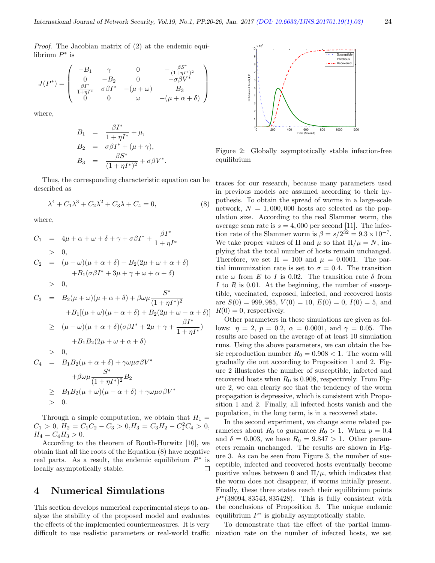Proof. The Jacobian matrix of (2) at the endemic equilibrium  $P^*$  is

$$
J(P^*) = \begin{pmatrix} -B_1 & \gamma & 0 & -\frac{\beta S^*}{(1+\eta I^*)^2} \\ 0 & -B_2 & 0 & -\sigma \beta V^* \\ \frac{\beta I^*}{1+\eta I^*} & \sigma \beta I^* & -(\mu+\omega) & B_3 \\ 0 & 0 & \omega & -(\mu+\alpha+\delta) \end{pmatrix}
$$

where,

$$
B_1 = \frac{\beta I^*}{1 + \eta I^*} + \mu,
$$
  
\n
$$
B_2 = \sigma \beta I^* + (\mu + \gamma),
$$
  
\n
$$
B_3 = \frac{\beta S^*}{(1 + \eta I^*)^2} + \sigma \beta V^*.
$$

Thus, the corresponding characteristic equation can be described as

$$
\lambda^4 + C_1 \lambda^3 + C_2 \lambda^2 + C_3 \lambda + C_4 = 0,\tag{8}
$$

where,

$$
C_1 = 4\mu + \alpha + \omega + \delta + \gamma + \sigma \beta I^* + \frac{\beta I^*}{1 + \eta I^*}
$$
  
\n
$$
> 0,
$$
  
\n
$$
C_2 = (\mu + \omega)(\mu + \alpha + \delta) + B_2(2\mu + \omega + \alpha + \delta)
$$
  
\n
$$
+ B_1(\sigma \beta I^* + 3\mu + \gamma + \omega + \alpha + \delta)
$$
  
\n
$$
> 0,
$$
  
\n
$$
C_3 = B_2(\mu + \omega)(\mu + \alpha + \delta) + \beta \omega \mu \frac{S^*}{(1 + \eta I^*)^2}
$$
  
\n
$$
+ B_1[(\mu + \omega)(\mu + \alpha + \delta) + B_2(2\mu + \omega + \alpha + \delta)]
$$
  
\n
$$
\geq (\mu + \omega)(\mu + \alpha + \delta)(\sigma \beta I^* + 2\mu + \gamma + \frac{\beta I^*}{1 + \eta I^*})
$$
  
\n
$$
+ B_1 B_2(2\mu + \omega + \alpha + \delta)
$$
  
\n
$$
> 0,
$$
  
\n
$$
C_4 = B_1 B_2(\mu + \alpha + \delta) + \gamma \omega \mu \sigma \beta V^* + \beta \omega \mu \frac{S^*}{(1 + \eta I^*)^2} B_2
$$

$$
\geq B_1 B_2(\mu + \omega)(\mu + \alpha + \delta) + \gamma \omega \mu \sigma \beta V^* > 0.
$$

Through a simple computation, we obtain that  $H_1 =$  $C_1 > 0, H_2 = C_1 C_2 - C_3 > 0, H_3 = C_3 H_2 - C_1^2 C_4 > 0,$  $H_4 = C_4 H_3 > 0.$ 

According to the theorem of Routh-Hurwitz [10], we obtain that all the roots of the Equation (8) have negative real parts. As a result, the endemic equilibrium  $P^*$  is locally asymptotically stable.  $\Box$ 

#### 4 Numerical Simulations

This section develops numerical experimental steps to analyze the stability of the proposed model and evaluates the effects of the implemented countermeasures. It is very difficult to use realistic parameters or real-world traffic



Figure 2: Globally asymptotically stable infection-free equilibrium

traces for our research, because many parameters used in previous models are assumed according to their hypothesis. To obtain the spread of worms in a large-scale network,  $N = 1,000,000$  hosts are selected as the population size. According to the real Slammer worm, the average scan rate is  $s = 4,000$  per second [11]. The infection rate of the Slammer worm is  $\beta = s/2^{32} = 9.3 \times 10^{-7}$ . We take proper values of  $\Pi$  and  $\mu$  so that  $\Pi/\mu = N$ , implying that the total number of hosts remain unchanged. Therefore, we set  $\Pi = 100$  and  $\mu = 0.0001$ . The partial immunization rate is set to  $\sigma = 0.4$ . The transition rate  $\omega$  from E to I is 0.02. The transition rate  $\delta$  from I to R is 0.01. At the beginning, the number of susceptible, vaccinated, exposed, infected, and recovered hosts are  $S(0) = 999,985, V(0) = 10, E(0) = 0, I(0) = 5,$  and  $R(0) = 0$ , respectively.

Other parameters in these simulations are given as follows:  $\eta = 2$ ,  $p = 0.2$ ,  $\alpha = 0.0001$ , and  $\gamma = 0.05$ . The results are based on the average of at least 10 simulation runs. Using the above parameters, we can obtain the basic reproduction number  $R_0 = 0.908 < 1$ . The worm will gradually die out according to Proposition 1 and 2. Figure 2 illustrates the number of susceptible, infected and recovered hosts when  $R_0$  is 0.908, respectively. From Figure 2, we can clearly see that the tendency of the worm propagation is depressive, which is consistent with Proposition 1 and 2. Finally, all infected hosts vanish and the population, in the long term, is in a recovered state.

In the second experiment, we change some related parameters about  $R_0$  to guarantee  $R_0 > 1$ . When  $p = 0.4$ and  $\delta = 0.003$ , we have  $R_0 = 9.847 > 1$ . Other parameters remain unchanged. The results are shown in Figure 3. As can be seen from Figure 3, the number of susceptible, infected and recovered hosts eventually become positive values between 0 and  $\Pi/\mu$ , which indicates that the worm does not disappear, if worms initially present. Finally, these three states reach their equilibrium points P ∗ (38094, 83543, 835428). This is fully consistent with the conclusions of Proposition 3. The unique endemic equilibrium  $P^*$  is globally asymptotically stable.

To demonstrate that the effect of the partial immunization rate on the number of infected hosts, we set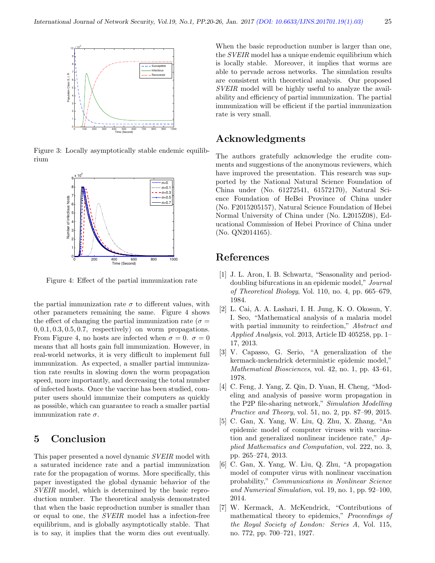

Figure 3: Locally asymptotically stable endemic equilibrium



Figure 4: Effect of the partial immunization rate

the partial immunization rate  $\sigma$  to different values, with other parameters remaining the same. Figure 4 shows the effect of changing the partial immunization rate ( $\sigma =$  $0, 0.1, 0.3, 0.5, 0.7$ , respectively) on worm propagations. From Figure 4, no hosts are infected when  $\sigma = 0$ .  $\sigma = 0$ means that all hosts gain full immunization. However, in real-world networks, it is very difficult to implement full immunization. As expected, a smaller partial immunization rate results in slowing down the worm propagation speed, more importantly, and decreasing the total number of infected hosts. Once the vaccine has been studied, computer users should immunize their computers as quickly as possible, which can guarantee to reach a smaller partial immunization rate  $\sigma$ .

## 5 Conclusion

This paper presented a novel dynamic SVEIR model with a saturated incidence rate and a partial immunization rate for the propagation of worms. More specifically, this paper investigated the global dynamic behavior of the SVEIR model, which is determined by the basic reproduction number. The theoretical analysis demonstrated that when the basic reproduction number is smaller than or equal to one, the SVEIR model has a infection-free equilibrium, and is globally asymptotically stable. That is to say, it implies that the worm dies out eventually.

When the basic reproduction number is larger than one, the SVEIR model has a unique endemic equilibrium which is locally stable. Moreover, it implies that worms are able to pervade across networks. The simulation results are consistent with theoretical analysis. Our proposed SVEIR model will be highly useful to analyze the availability and efficiency of partial immunization. The partial immunization will be efficient if the partial immunization rate is very small.

#### Acknowledgments

The authors gratefully acknowledge the erudite comments and suggestions of the anonymous reviewers, which have improved the presentation. This research was supported by the National Natural Science Foundation of China under (No. 61272541, 61572170), Natural Science Foundation of HeBei Province of China under (No. F2015205157), Natural Science Foundation of Hebei Normal University of China under (No. L2015Z08), Educational Commission of Hebei Province of China under (No. QN2014165).

#### References

- [1] J. L. Aron, I. B. Schwartz, "Seasonality and perioddoubling bifurcations in an epidemic model," Journal of Theoretical Biology, Vol. 110, no. 4, pp. 665–679, 1984.
- [2] L. Cai, A. A. Lashari, I. H. Jung, K. O. Okosun, Y. I. Seo, "Mathematical analysis of a malaria model with partial immunity to reinfection," Abstract and Applied Analysis, vol. 2013, Article ID 405258, pp. 1– 17, 2013.
- [3] V. Capasso, G. Serio, "A generalization of the kermack-mckendrick deterministic epidemic model," Mathematical Biosciences, vol. 42, no. 1, pp. 43–61, 1978.
- [4] C. Feng, J. Yang, Z. Qin, D. Yuan, H. Cheng, "Modeling and analysis of passive worm propagation in the P2P file-sharing network," Simulation Modelling Practice and Theory, vol. 51, no. 2, pp. 87–99, 2015.
- [5] C. Gan, X. Yang, W. Liu, Q. Zhu, X. Zhang, "An epidemic model of computer viruses with vaccination and generalized nonlinear incidence rate," Applied Mathematics and Computation, vol. 222, no. 3, pp. 265–274, 2013.
- [6] C. Gan, X. Yang, W. Liu, Q. Zhu, "A propagation model of computer virus with nonlinear vaccination probability," Communications in Nonlinear Science and Numerical Simulation, vol. 19, no. 1, pp. 92–100, 2014.
- [7] W. Kermack, A. McKendrick, "Contributions of mathematical theory to epidemics," Proceedings of the Royal Society of London: Series A, Vol. 115, no. 772, pp. 700–721, 1927.